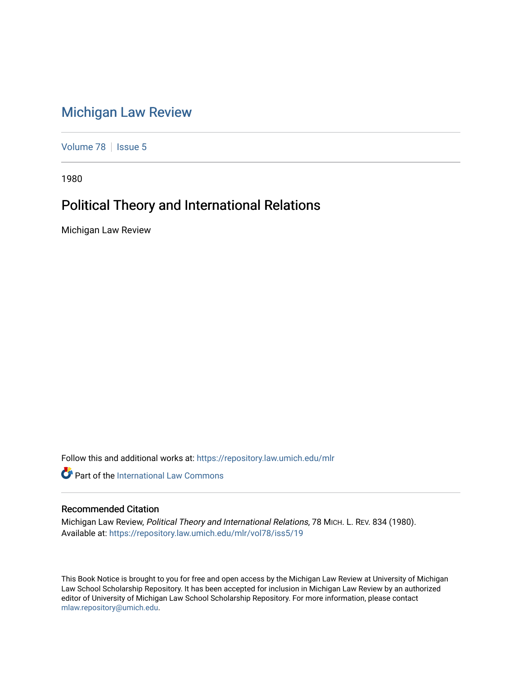## [Michigan Law Review](https://repository.law.umich.edu/mlr)

[Volume 78](https://repository.law.umich.edu/mlr/vol78) | [Issue 5](https://repository.law.umich.edu/mlr/vol78/iss5)

1980

## Political Theory and International Relations

Michigan Law Review

Follow this and additional works at: [https://repository.law.umich.edu/mlr](https://repository.law.umich.edu/mlr?utm_source=repository.law.umich.edu%2Fmlr%2Fvol78%2Fiss5%2F19&utm_medium=PDF&utm_campaign=PDFCoverPages) 

**Part of the International Law Commons** 

## Recommended Citation

Michigan Law Review, Political Theory and International Relations, 78 MICH. L. REV. 834 (1980). Available at: [https://repository.law.umich.edu/mlr/vol78/iss5/19](https://repository.law.umich.edu/mlr/vol78/iss5/19?utm_source=repository.law.umich.edu%2Fmlr%2Fvol78%2Fiss5%2F19&utm_medium=PDF&utm_campaign=PDFCoverPages) 

This Book Notice is brought to you for free and open access by the Michigan Law Review at University of Michigan Law School Scholarship Repository. It has been accepted for inclusion in Michigan Law Review by an authorized editor of University of Michigan Law School Scholarship Repository. For more information, please contact [mlaw.repository@umich.edu.](mailto:mlaw.repository@umich.edu)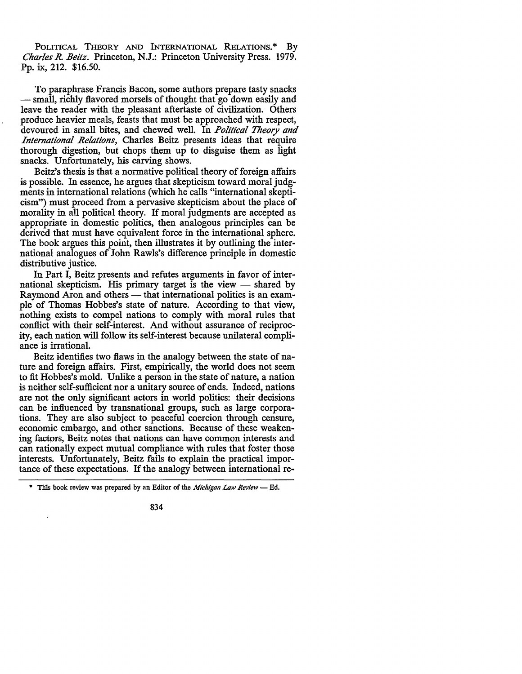POLITICAL THEORY AND INTERNATIONAL RELATIONS.\* By *Charles* R. *Beitz.* Princeton, N.J.: Princeton University Press. 1979. Pp. ix, 212. \$16.50.

To paraphrase Francis Bacon, some authors prepare tasty snacks small, richly flavored morsels of thought that go down easily and leave the reader with the pleasant aftertaste of civilization. Others produce heavier meals, feasts that must be approached with respect, devoured in small bites, and chewed well. In *Political Theory and International Relations,* Charles Beitz presents ideas that require thorough digestion, but chops them up to disguise them as light snacks. Unfortunately, his carving shows.

Beitz's thesis is that a normative political theory of foreign affairs is possible. In essence, he argues that skepticism toward moral judgments in international relations (which he calls "international skepticism") must proceed from a pervasive skepticism about the place of morality in all political theory. If moral judgments are accepted as appropriate in domestic politics, then analogous principles can be derived that must have equivalent force in the international sphere. The book argues this point, then illustrates it by outlining the international analogues of John Rawls's difference principle in domestic distributive justice.

In Part I, Beitz presents and refutes arguments in favor of international skepticism. His primary target is the view  $-$  shared by Raymond Aron and others - that international politics is an example of Thomas Hobbes's state of nature. According to that view, nothing exists to compel nations to comply with moral rules that conflict with their self-interest. And without assurance of reciprocity, each nation will follow its self-interest because unilateral compliance is irrational.

Beitz identifies two flaws in the analogy between the state of nature and foreign affairs. First, empirically, the world does not seem to fit Hobbes's mold. Unlike a person in the state of nature, a nation is neither self-sufficient nor a unitary source of ends. Indeed, nations are not the only significant actors in world politics: their decisions can be influenced by transnational groups, such as large corporations. They are also subject to peaceful coercion through censure, economic embargo, and other sanctions. Because of these weakening factors, Beitz notes that nations can have common interests and can rationally expect mutual compliance with rules that foster those interests. Unfortunately, Beitz fails to explain the practical importance of these expectations. If the analogy between international re-

<sup>\*</sup> This book review was prepared by an Editor of the *Michigan Law Review* - Ed.

<sup>834</sup>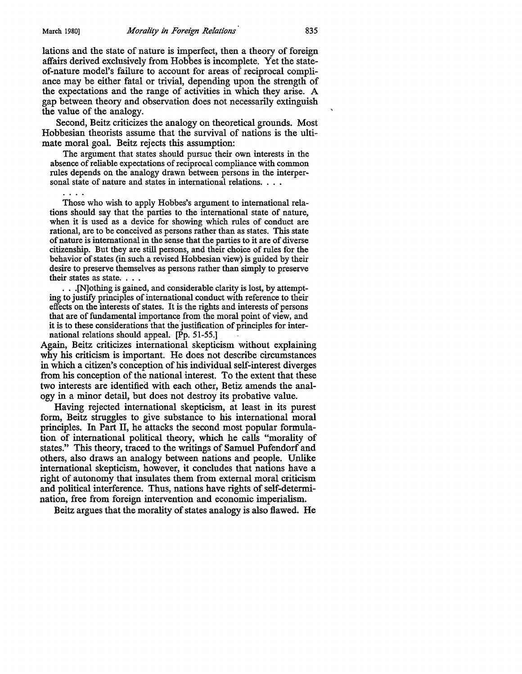lations and the state of nature is imperfect, then a theory of foreign affairs derived exclusively from Hobbes is incomplete. Yet the stateof-nature model's failure to account for areas of reciprocal compliance may be either fatal or trivial, depending upon the strength of the expectations and the range of activities in which they arise. A gap between theory and observation does not necessarily extinguish the value of the analogy.

Second, Beitz criticizes the analogy on theoretical grounds. Most Hobbesian theorists assume that the survival of nations is the ultimate moral goal. Beitz rejects this assumption:

The argument that states should pursue their own interests in the absence of reliable expectations of reciprocal compliance with common rules depends on the analogy drawn between persons in the interpersonal state of nature and states in international relations. . . .

Those who wish to apply Hobbes's argument to international relations should say that the parties to the international state of nature, when it is used as a device for showing which rules of conduct are rational, are to be conceived as persons rather than as states. This state of nature is international in the sense that the parties to it are of diverse citizenship. But they are still persons, and their choice of rules for the behavior of states (in such a revised Hobbesian view) is guided by their desire to preserve themselves as persons rather than simply to preserve their states as state. . . .

. . .[N]othing is gained, and considerable clarity is lost, by attempting to justify principles of international conduct with reference to their effects on the interests of states. It is the rights and interests of persons that are of fundamental importance from the moral point of view, and it is to these considerations that the justification of principles for international relations should appeal. [Pp. 51-55.]

Again, Beitz criticizes international skepticism without explaining why his criticism is important. He does not describe circumstances in which a citizen's conception of his individual self-interest diverges from his conception of the national interest. To the extent that these two interests are identified with each other, Betiz amends the analogy in a minor detail, but does not destroy its probative value.

Having rejected international skepticism, at least in its purest form, Beitz struggles to give substance to his international moral principles. In Part II, he attacks the second most popular formulation of international political theory, which he calls "morality of states." This theory, traced to the writings of Samuel Pufendorf and others, also draws an analogy between nations and people. Unlike international skepticism, however, it concludes that nations have a right of autonomy that insulates them from external moral criticism and political interference. Thus, nations have rights of self-determination, free from foreign intervention and economic imperialism.

Beitz argues that the morality of states analogy is also flawed. He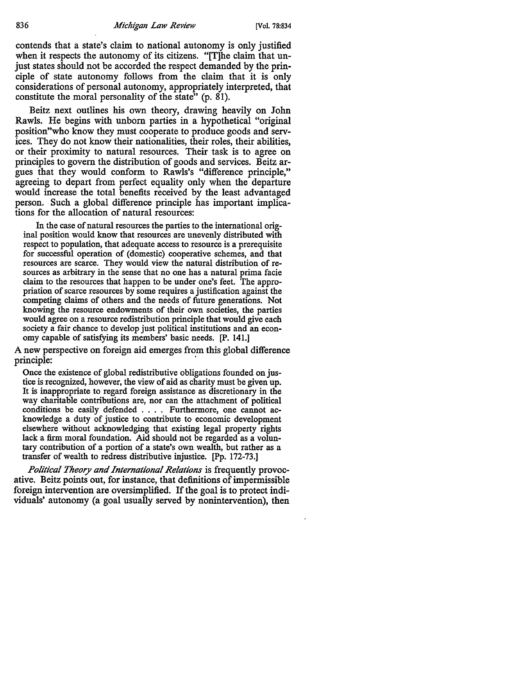contends that a state's claim to national autonomy is only justified when it respects the autonomy of its citizens. "[T]he claim that unjust states should not be accorded the respect demanded by the principle of state autonomy follows from the claim that it is only considerations of personal autonomy, appropriately interpreted, that constitute the moral personality of the state" (p. 81).

Beitz next outlines his own theory, drawing heavily on John Rawls. He begins with unborn parties in a hypothetical "original position"who know they must cooperate to produce goods and services. They do not know their nationalities, their roles, their abilities, or their proximity to natural resources. Their task is to agree on principles to govern the distribution of goods and services. Beitz argues that they would conform to Rawls's "difference principle," agreeing to depart from perfect equality only when the departure would increase the total benefits received by the least advantaged person. Such a global difference principle has important implications for the allocation of natural resources:

In the case of natural resources the parties to the international original position would know that resources are unevenly distributed with respect to population, that adequate access to resource is a prerequisite for successful operation of (domestic) cooperative schemes, and that resources are scarce. They would view the natural distribution of resources as arbitrary in the sense that no one has a natural prima facie claim to the resources that happen to be under one's feet. The appropriation of scarce resources by some requires a justification against the competing claims of others and the needs of future generations. Not knowing the resource endowments of their own societies, the parties would agree on a resource redistribution principle that would give each society a fair chance to develop just political institutions and an economy capable of satisfying its members' basic needs. [P. 141.]

A new perspective on foreign aid emerges from this global difference principle: .

Once the existence of global redistributive obligations founded on justice is recognized, however, the view of aid as charity must be given up. It is inappropriate to regard foreign assistance as discretionary in the way charitable contributions are, nor can the attachment of political conditions be easily defended . . . . Furthermore, one cannot acknowledge a duty of justice to contribute to economic development elsewhere without acknowledging that existing legal property rights lack a firm moral foundation. Aid should not be regarded as a voluntary contribution of a portion of a state's own wealth, but rather as a transfer of wealth to redress distributive injustice. [Pp. 172-73.]

*Political Theory and International Relations* is frequently provocative. Beitz points out, for instance, that definitions of impermissible foreign intervention are oversimplified. If the goal is to protect individuals' autonomy (a goal usually served by nonintervention), then